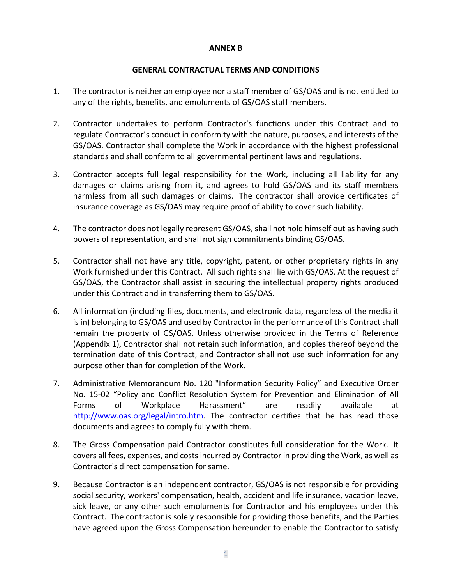## **ANNEX B**

## **GENERAL CONTRACTUAL TERMS AND CONDITIONS**

- 1. The contractor is neither an employee nor a staff member of GS/OAS and is not entitled to any of the rights, benefits, and emoluments of GS/OAS staff members.
- 2. Contractor undertakes to perform Contractor's functions under this Contract and to regulate Contractor's conduct in conformity with the nature, purposes, and interests of the GS/OAS. Contractor shall complete the Work in accordance with the highest professional standards and shall conform to all governmental pertinent laws and regulations.
- 3. Contractor accepts full legal responsibility for the Work, including all liability for any damages or claims arising from it, and agrees to hold GS/OAS and its staff members harmless from all such damages or claims. The contractor shall provide certificates of insurance coverage as GS/OAS may require proof of ability to cover such liability.
- 4. The contractor does not legally represent GS/OAS, shall not hold himself out as having such powers of representation, and shall not sign commitments binding GS/OAS.
- 5. Contractor shall not have any title, copyright, patent, or other proprietary rights in any Work furnished under this Contract. All such rights shall lie with GS/OAS. At the request of GS/OAS, the Contractor shall assist in securing the intellectual property rights produced under this Contract and in transferring them to GS/OAS.
- 6. All information (including files, documents, and electronic data, regardless of the media it is in) belonging to GS/OAS and used by Contractor in the performance of this Contract shall remain the property of GS/OAS. Unless otherwise provided in the Terms of Reference (Appendix 1), Contractor shall not retain such information, and copies thereof beyond the termination date of this Contract, and Contractor shall not use such information for any purpose other than for completion of the Work.
- 7. Administrative Memorandum No. 120 "Information Security Policy" and Executive Order No. 15-02 "Policy and Conflict Resolution System for Prevention and Elimination of All Forms of Workplace Harassment" are readily available at [http://www.oas.org/legal/intro.htm.](http://www.oas.org/legal/intro.htm) The contractor certifies that he has read those documents and agrees to comply fully with them.
- 8. The Gross Compensation paid Contractor constitutes full consideration for the Work. It covers all fees, expenses, and costs incurred by Contractor in providing the Work, as well as Contractor's direct compensation for same.
- 9. Because Contractor is an independent contractor, GS/OAS is not responsible for providing social security, workers' compensation, health, accident and life insurance, vacation leave, sick leave, or any other such emoluments for Contractor and his employees under this Contract. The contractor is solely responsible for providing those benefits, and the Parties have agreed upon the Gross Compensation hereunder to enable the Contractor to satisfy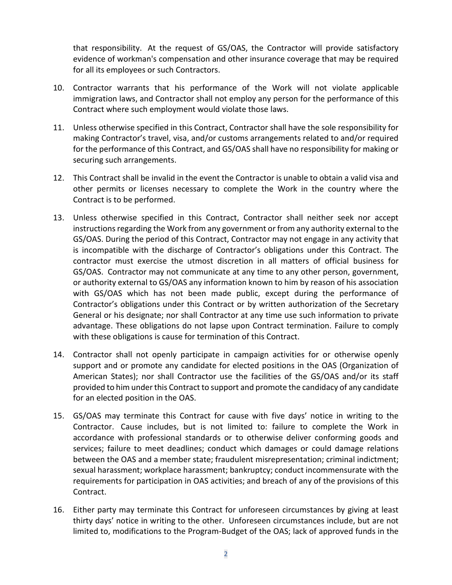that responsibility. At the request of GS/OAS, the Contractor will provide satisfactory evidence of workman's compensation and other insurance coverage that may be required for all its employees or such Contractors.

- 10. Contractor warrants that his performance of the Work will not violate applicable immigration laws, and Contractor shall not employ any person for the performance of this Contract where such employment would violate those laws.
- 11. Unless otherwise specified in this Contract, Contractor shall have the sole responsibility for making Contractor's travel, visa, and/or customs arrangements related to and/or required for the performance of this Contract, and GS/OAS shall have no responsibility for making or securing such arrangements.
- 12. This Contract shall be invalid in the event the Contractor is unable to obtain a valid visa and other permits or licenses necessary to complete the Work in the country where the Contract is to be performed.
- 13. Unless otherwise specified in this Contract, Contractor shall neither seek nor accept instructions regarding the Work from any government or from any authority external to the GS/OAS. During the period of this Contract, Contractor may not engage in any activity that is incompatible with the discharge of Contractor's obligations under this Contract. The contractor must exercise the utmost discretion in all matters of official business for GS/OAS. Contractor may not communicate at any time to any other person, government, or authority external to GS/OAS any information known to him by reason of his association with GS/OAS which has not been made public, except during the performance of Contractor's obligations under this Contract or by written authorization of the Secretary General or his designate; nor shall Contractor at any time use such information to private advantage. These obligations do not lapse upon Contract termination. Failure to comply with these obligations is cause for termination of this Contract.
- 14. Contractor shall not openly participate in campaign activities for or otherwise openly support and or promote any candidate for elected positions in the OAS (Organization of American States); nor shall Contractor use the facilities of the GS/OAS and/or its staff provided to him under this Contract to support and promote the candidacy of any candidate for an elected position in the OAS.
- 15. GS/OAS may terminate this Contract for cause with five days' notice in writing to the Contractor. Cause includes, but is not limited to: failure to complete the Work in accordance with professional standards or to otherwise deliver conforming goods and services; failure to meet deadlines; conduct which damages or could damage relations between the OAS and a member state; fraudulent misrepresentation; criminal indictment; sexual harassment; workplace harassment; bankruptcy; conduct incommensurate with the requirements for participation in OAS activities; and breach of any of the provisions of this Contract.
- 16. Either party may terminate this Contract for unforeseen circumstances by giving at least thirty days' notice in writing to the other. Unforeseen circumstances include, but are not limited to, modifications to the Program-Budget of the OAS; lack of approved funds in the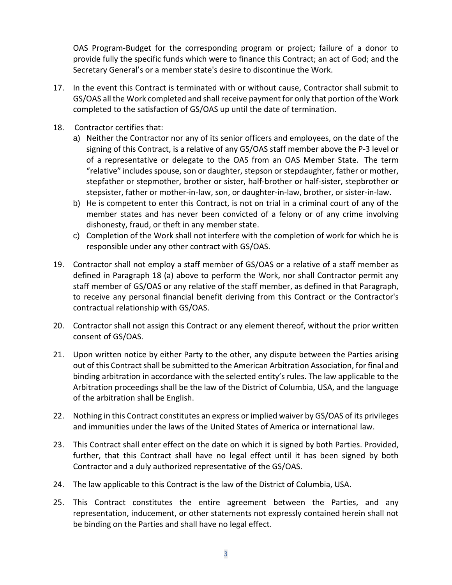OAS Program-Budget for the corresponding program or project; failure of a donor to provide fully the specific funds which were to finance this Contract; an act of God; and the Secretary General's or a member state's desire to discontinue the Work.

- 17. In the event this Contract is terminated with or without cause, Contractor shall submit to GS/OAS all the Work completed and shall receive payment for only that portion of the Work completed to the satisfaction of GS/OAS up until the date of termination.
- 18. Contractor certifies that:
	- a) Neither the Contractor nor any of its senior officers and employees, on the date of the signing of this Contract, is a relative of any GS/OAS staff member above the P-3 level or of a representative or delegate to the OAS from an OAS Member State. The term "relative" includes spouse, son or daughter, stepson or stepdaughter, father or mother, stepfather or stepmother, brother or sister, half-brother or half-sister, stepbrother or stepsister, father or mother-in-law, son, or daughter-in-law, brother, or sister-in-law.
	- b) He is competent to enter this Contract, is not on trial in a criminal court of any of the member states and has never been convicted of a felony or of any crime involving dishonesty, fraud, or theft in any member state.
	- c) Completion of the Work shall not interfere with the completion of work for which he is responsible under any other contract with GS/OAS.
- 19. Contractor shall not employ a staff member of GS/OAS or a relative of a staff member as defined in Paragraph 18 (a) above to perform the Work, nor shall Contractor permit any staff member of GS/OAS or any relative of the staff member, as defined in that Paragraph, to receive any personal financial benefit deriving from this Contract or the Contractor's contractual relationship with GS/OAS.
- 20. Contractor shall not assign this Contract or any element thereof, without the prior written consent of GS/OAS.
- 21. Upon written notice by either Party to the other, any dispute between the Parties arising out of this Contract shall be submitted to the American Arbitration Association, for final and binding arbitration in accordance with the selected entity's rules. The law applicable to the Arbitration proceedings shall be the law of the District of Columbia, USA, and the language of the arbitration shall be English.
- 22. Nothing in this Contract constitutes an express or implied waiver by GS/OAS of its privileges and immunities under the laws of the United States of America or international law.
- 23. This Contract shall enter effect on the date on which it is signed by both Parties. Provided, further, that this Contract shall have no legal effect until it has been signed by both Contractor and a duly authorized representative of the GS/OAS.
- 24. The law applicable to this Contract is the law of the District of Columbia, USA.
- 25. This Contract constitutes the entire agreement between the Parties, and any representation, inducement, or other statements not expressly contained herein shall not be binding on the Parties and shall have no legal effect.